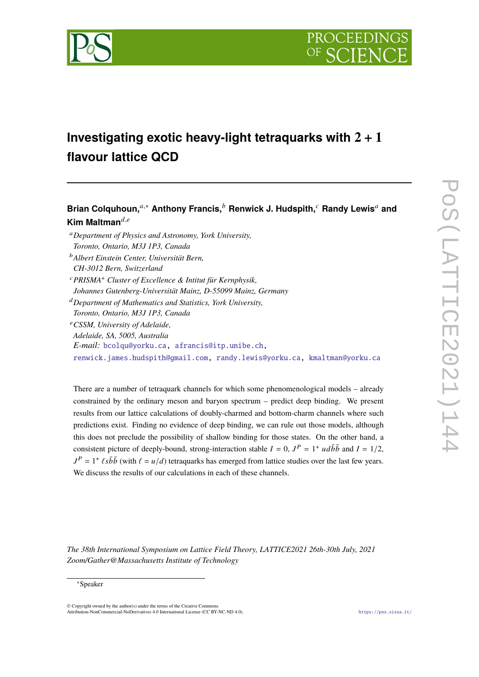

# **Investigating exotic heavy-light tetraquarks with 2** + **1 flavour lattice QCD**

**Brian Colquhoun.**<sup>*a*,∗</sup> Anthony Francis.<sup>*b*</sup> Renwick J. Hudspith.<sup>*c*</sup> Randy Lewis<sup>*a*</sup> and **Kim Maltman** $d,e$ 

- <sup>𝑎</sup>*Department of Physics and Astronomy, York University,*
- *Toronto, Ontario, M3J 1P3, Canada*
- <sup>𝑏</sup>*Albert Einstein Center, Universität Bern, CH-3012 Bern, Switzerland*
- <sup>𝑐</sup>*PRISMA*<sup>+</sup> *Cluster of Excellence & Intitut für Kernphysik,*
- *Johannes Gutenberg-Universität Mainz, D-55099 Mainz, Germany*

<sup>𝑑</sup>*Department of Mathematics and Statistics, York University,*

- *Toronto, Ontario, M3J 1P3, Canada*
- <sup>𝑒</sup>*CSSM, University of Adelaide,*
- *Adelaide, SA, 5005, Australia*
- *E-mail:* [bcolqu@yorku.ca,](mailto:bcolqu@yorku.ca) [afrancis@itp.unibe.ch,](mailto:afrancis@itp.unibe.ch)

[renwick.james.hudspith@gmail.com,](mailto:renwick.james.hudspith@gmail.com) [randy.lewis@yorku.ca,](mailto:randy.lewis@yorku.ca) [kmaltman@yorku.ca](mailto:kmaltman@yorku.ca)

There are a number of tetraquark channels for which some phenomenological models – already constrained by the ordinary meson and baryon spectrum – predict deep binding. We present results from our lattice calculations of doubly-charmed and bottom-charm channels where such predictions exist. Finding no evidence of deep binding, we can rule out those models, although this does not preclude the possibility of shallow binding for those states. On the other hand, a consistent picture of deeply-bound, strong-interaction stable  $I = 0$ ,  $J<sup>P</sup> = 1<sup>+</sup> u d\bar{b} \bar{b}$  and  $I = 1/2$ ,  $J<sup>P</sup> = 1<sup>+</sup> \ell s \bar{b} \bar{b}$  (with  $\ell = u/d$ ) tetraquarks has emerged from lattice studies over the last few years. We discuss the results of our calculations in each of these channels.

*The 38th International Symposium on Lattice Field Theory, LATTICE2021 26th-30th July, 2021 Zoom/Gather@Massachusetts Institute of Technology*

© Copyright owned by the author(s) under the terms of the Creative Commons Attribution-NonCommercial-NoDerivatives 4.0 International License (CC BY-NC-ND 4.0). <https://pos.sissa.it/>

<sup>∗</sup>Speaker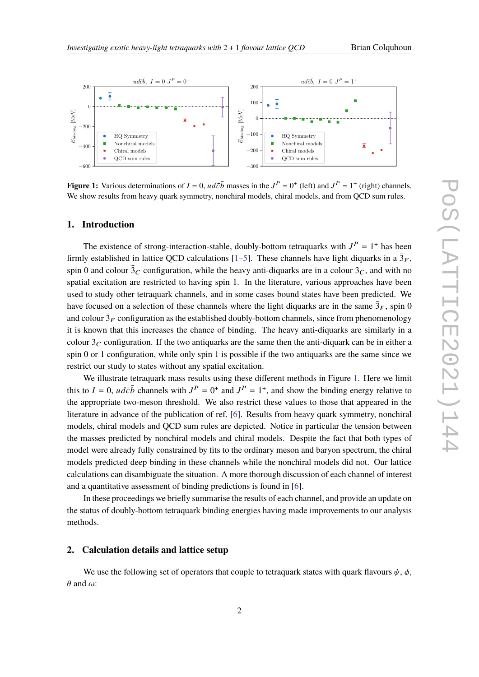<span id="page-1-0"></span>

**Figure 1:** Various determinations of  $I = 0$ ,  $ud\bar{c}\bar{b}$  masses in the  $J^P = 0^+$  (left) and  $J^P = 1^+$  (right) channels. We show results from heavy quark symmetry, nonchiral models, chiral models, and from QCD sum rules.

#### **1. Introduction**

The existence of strong-interaction-stable, doubly-bottom tetraquarks with  $J<sup>P</sup> = 1<sup>+</sup>$  has been firmly established in lattice QCD calculations [\[1](#page-6-0)[–5\]](#page-7-0). These channels have light diquarks in a  $\bar{3}_F$ , spin 0 and colour  $\bar{3}_C$  configuration, while the heavy anti-diquarks are in a colour  $3_C$ , and with no spatial excitation are restricted to having spin 1. In the literature, various approaches have been used to study other tetraquark channels, and in some cases bound states have been predicted. We have focused on a selection of these channels where the light diquarks are in the same  $\bar{3}_F$ , spin 0 and colour  $\bar{3}_F$  configuration as the established doubly-bottom channels, since from phenomenology it is known that this increases the chance of binding. The heavy anti-diquarks are similarly in a colour  $3<sub>C</sub>$  configuration. If the two antiquarks are the same then the anti-diquark can be in either a spin 0 or 1 configuration, while only spin 1 is possible if the two antiquarks are the same since we restrict our study to states without any spatial excitation.

We illustrate tetraquark mass results using these different methods in Figure [1.](#page-1-0) Here we limit this to  $I = 0$ ,  $ud\bar{c}\bar{b}$  channels with  $J^P = 0^+$  and  $J^P = 1^+$ , and show the binding energy relative to the appropriate two-meson threshold. We also restrict these values to those that appeared in the literature in advance of the publication of ref. [\[6\]](#page-7-1). Results from heavy quark symmetry, nonchiral models, chiral models and QCD sum rules are depicted. Notice in particular the tension between the masses predicted by nonchiral models and chiral models. Despite the fact that both types of model were already fully constrained by fits to the ordinary meson and baryon spectrum, the chiral models predicted deep binding in these channels while the nonchiral models did not. Our lattice calculations can disambiguate the situation. A more thorough discussion of each channel of interest and a quantitative assessment of binding predictions is found in [\[6\]](#page-7-1).

In these proceedings we briefly summarise the results of each channel, and provide an update on the status of doubly-bottom tetraquark binding energies having made improvements to our analysis methods.

#### **2. Calculation details and lattice setup**

We use the following set of operators that couple to tetraquark states with quark flavours  $\psi$ ,  $\phi$ ,  $\theta$  and  $\omega$ :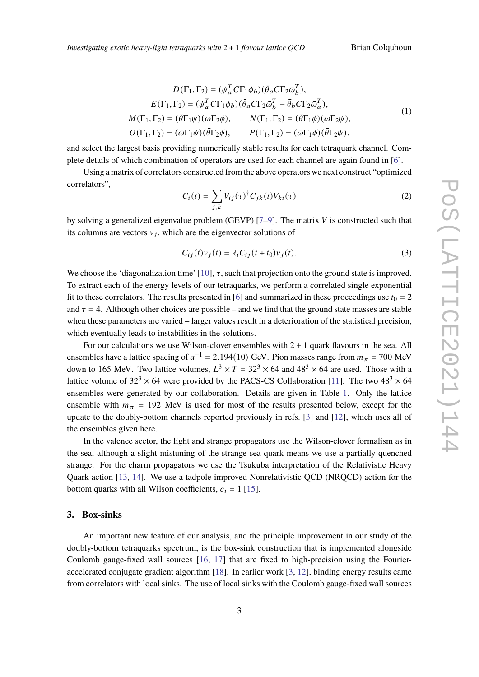$$
D(\Gamma_1, \Gamma_2) = (\psi_a^T C \Gamma_1 \phi_b)(\bar{\theta}_a C \Gamma_2 \bar{\omega}_b^T),
$$
  
\n
$$
E(\Gamma_1, \Gamma_2) = (\psi_a^T C \Gamma_1 \phi_b)(\bar{\theta}_a C \Gamma_2 \bar{\omega}_b^T - \bar{\theta}_b C \Gamma_2 \bar{\omega}_a^T),
$$
  
\n
$$
M(\Gamma_1, \Gamma_2) = (\bar{\theta} \Gamma_1 \psi)(\bar{\omega} \Gamma_2 \phi), \qquad N(\Gamma_1, \Gamma_2) = (\bar{\theta} \Gamma_1 \phi)(\bar{\omega} \Gamma_2 \psi),
$$
  
\n
$$
O(\Gamma_1, \Gamma_2) = (\bar{\omega} \Gamma_1 \psi)(\bar{\theta} \Gamma_2 \phi), \qquad P(\Gamma_1, \Gamma_2) = (\bar{\omega} \Gamma_1 \phi)(\bar{\theta} \Gamma_2 \psi).
$$
  
\n(1)

and select the largest basis providing numerically stable results for each tetraquark channel. Complete details of which combination of operators are used for each channel are again found in [\[6\]](#page-7-1).

Using a matrix of correlators constructed from the above operators we next construct "optimized correlators",

$$
C_i(t) = \sum_{j,k} V_{ij}(\tau)^{\dagger} C_{jk}(t) V_{ki}(\tau)
$$
\n(2)

by solving a generalized eigenvalue problem (GEVP)  $[7-9]$  $[7-9]$ . The matrix V is constructed such that its columns are vectors  $v_i$ , which are the eigenvector solutions of

$$
C_{ij}(t)v_j(t) = \lambda_i C_{ij}(t+t_0)v_j(t).
$$
\n(3)

We choose the 'diagonalization time'  $[10]$ ,  $\tau$ , such that projection onto the ground state is improved. To extract each of the energy levels of our tetraquarks, we perform a correlated single exponential fit to these correlators. The results presented in [\[6\]](#page-7-1) and summarized in these proceedings use  $t_0 = 2$ and  $\tau = 4$ . Although other choices are possible – and we find that the ground state masses are stable when these parameters are varied – larger values result in a deterioration of the statistical precision, which eventually leads to instabilities in the solutions.

For our calculations we use Wilson-clover ensembles with  $2 + 1$  quark flavours in the sea. All ensembles have a lattice spacing of  $a^{-1} = 2.194(10)$  GeV. Pion masses range from  $m_{\pi} = 700$  MeV down to 165 MeV. Two lattice volumes,  $L^3 \times T = 32^3 \times 64$  and  $48^3 \times 64$  are used. Those with a lattice volume of 32<sup>3</sup>  $\times$  64 were provided by the PACS-CS Collaboration [\[11\]](#page-7-5). The two 48<sup>3</sup>  $\times$  64 ensembles were generated by our collaboration. Details are given in Table [1.](#page-3-0) Only the lattice ensemble with  $m_{\pi}$  = 192 MeV is used for most of the results presented below, except for the update to the doubly-bottom channels reported previously in refs. [\[3\]](#page-7-6) and [\[12\]](#page-7-7), which uses all of the ensembles given here.

In the valence sector, the light and strange propagators use the Wilson-clover formalism as in the sea, although a slight mistuning of the strange sea quark means we use a partially quenched strange. For the charm propagators we use the Tsukuba interpretation of the Relativistic Heavy Quark action [\[13,](#page-7-8) [14\]](#page-7-9). We use a tadpole improved Nonrelativistic QCD (NRQCD) action for the bottom quarks with all Wilson coefficients,  $c_i = 1$  [\[15\]](#page-7-10).

# **3. Box-sinks**

An important new feature of our analysis, and the principle improvement in our study of the doubly-bottom tetraquarks spectrum, is the box-sink construction that is implemented alongside Coulomb gauge-fixed wall sources [\[16,](#page-7-11) [17\]](#page-7-12) that are fixed to high-precision using the Fourieraccelerated conjugate gradient algorithm [\[18\]](#page-7-13). In earlier work [\[3,](#page-7-6) [12\]](#page-7-7), binding energy results came from correlators with local sinks. The use of local sinks with the Coulomb gauge-fixed wall sources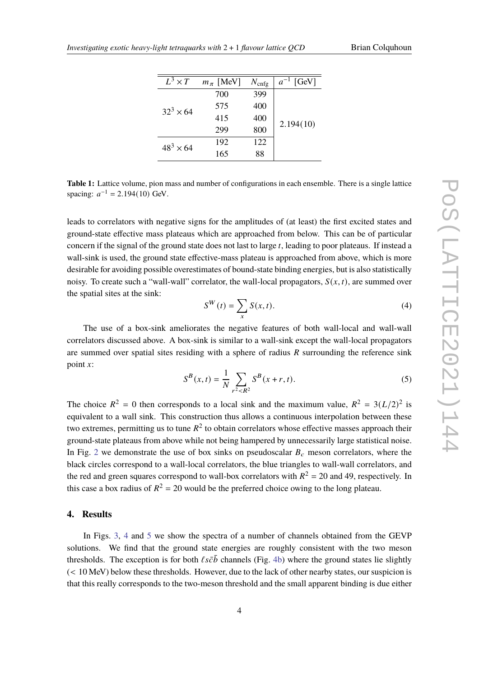<span id="page-3-0"></span>

| $L^3 \times T$   | $m_\pi$ [MeV] | $N_{\text{cnfg}}$ | $a^{-1}$ [GeV] |
|------------------|---------------|-------------------|----------------|
| $32^3 \times 64$ | 700           | 399               | 2.194(10)      |
|                  | 575           | 400               |                |
|                  | 415           | 400               |                |
|                  | 299           | 800               |                |
| $48^3 \times 64$ | 192           | 122               |                |
|                  | 165           | 88                |                |
|                  |               |                   |                |

**Table 1:** Lattice volume, pion mass and number of configurations in each ensemble. There is a single lattice spacing:  $a^{-1} = 2.194(10)$  GeV.

leads to correlators with negative signs for the amplitudes of (at least) the first excited states and ground-state effective mass plateaus which are approached from below. This can be of particular concern if the signal of the ground state does not last to large  $t$ , leading to poor plateaus. If instead a wall-sink is used, the ground state effective-mass plateau is approached from above, which is more desirable for avoiding possible overestimates of bound-state binding energies, but is also statistically noisy. To create such a "wall-wall" correlator, the wall-local propagators,  $S(x, t)$ , are summed over the spatial sites at the sink:

$$
S^{W}(t) = \sum_{x} S(x, t). \tag{4}
$$

The use of a box-sink ameliorates the negative features of both wall-local and wall-wall correlators discussed above. A box-sink is similar to a wall-sink except the wall-local propagators are summed over spatial sites residing with a sphere of radius  *surrounding the reference sink* point  $\chi$ :

$$
S^{B}(x,t) = \frac{1}{N} \sum_{r^{2} < R^{2}} S^{B}(x+r,t). \tag{5}
$$

The choice  $R^2 = 0$  then corresponds to a local sink and the maximum value,  $R^2 = 3(L/2)^2$  is equivalent to a wall sink. This construction thus allows a continuous interpolation between these two extremes, permitting us to tune  $R^2$  to obtain correlators whose effective masses approach their ground-state plateaus from above while not being hampered by unnecessarily large statistical noise. In Fig. [2](#page-4-0) we demonstrate the use of box sinks on pseudoscalar  $B_c$  meson correlators, where the black circles correspond to a wall-local correlators, the blue triangles to wall-wall correlators, and the red and green squares correspond to wall-box correlators with  $R^2 = 20$  and 49, respectively. In this case a box radius of  $R^2 = 20$  would be the preferred choice owing to the long plateau.

# **4. Results**

In Figs. [3,](#page-4-1) [4](#page-5-0) and [5](#page-5-1) we show the spectra of a number of channels obtained from the GEVP solutions. We find that the ground state energies are roughly consistent with the two meson thresholds. The exception is for both  $\ell s \bar{c} \bar{b}$  channels (Fig. [4b\)](#page-5-0) where the ground states lie slightly (< 10 MeV) below these thresholds. However, due to the lack of other nearby states, our suspicion is that this really corresponds to the two-meson threshold and the small apparent binding is due either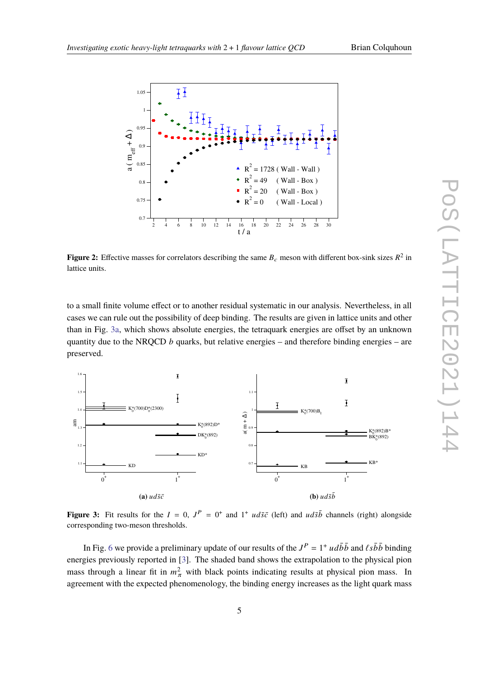

<span id="page-4-0"></span>

**Figure 2:** Effective masses for correlators describing the same  $B_c$  meson with different box-sink sizes  $R^2$  in lattice units.

to a small finite volume effect or to another residual systematic in our analysis. Nevertheless, in all cases we can rule out the possibility of deep binding. The results are given in lattice units and other than in Fig. [3a,](#page-4-1) which shows absolute energies, the tetraquark energies are offset by an unknown quantity due to the NRQCD  $b$  quarks, but relative energies – and therefore binding energies – are preserved.

<span id="page-4-1"></span>

**Figure 3:** Fit results for the  $I = 0$ ,  $J^P = 0^+$  and  $1^+$   $ud\bar{s}\bar{c}$  (left) and  $ud\bar{s}\bar{b}$  channels (right) alongside corresponding two-meson thresholds.

In Fig. [6](#page-6-1) we provide a preliminary update of our results of the  $J^P = 1^+ u d\bar{b} \bar{b}$  and  $\ell s \bar{b} \bar{b}$  binding energies previously reported in [\[3\]](#page-7-6). The shaded band shows the extrapolation to the physical pion mass through a linear fit in  $m_{\pi}^2$  with black points indicating results at physical pion mass. In agreement with the expected phenomenology, the binding energy increases as the light quark mass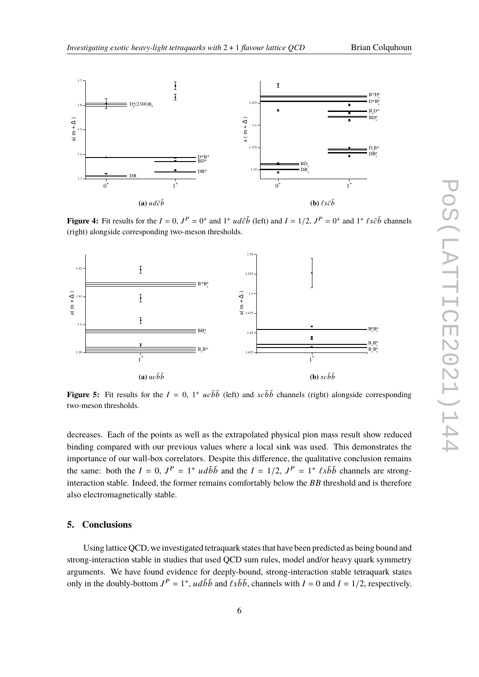

<span id="page-5-0"></span>

**Figure 4:** Fit results for the  $I = 0$ ,  $J^P = 0^+$  and  $1^+ u d\bar{c}\bar{b}$  (left) and  $I = 1/2$ ,  $J^P = 0^+$  and  $1^+ \ell s \bar{c} \bar{b}$  channels (right) alongside corresponding two-meson thresholds.

<span id="page-5-1"></span>

**Figure 5:** Fit results for the  $I = 0$ ,  $1^+ u c \bar{b} \bar{b}$  (left) and  $s c \bar{b} \bar{b}$  channels (right) alongside corresponding two-meson thresholds.

decreases. Each of the points as well as the extrapolated physical pion mass result show reduced binding compared with our previous values where a local sink was used. This demonstrates the importance of our wall-box correlators. Despite this difference, the qualitative conclusion remains the same: both the  $I = 0$ ,  $J^P = 1^+ u d\bar{b} \bar{b}$  and the  $I = 1/2$ ,  $J^P = 1^+ \ell s \bar{b} \bar{b}$  channels are stronginteraction stable. Indeed, the former remains comfortably below the  $BB$  threshold and is therefore also electromagnetically stable.

# **5. Conclusions**

Using lattice QCD, we investigated tetraquark states that have been predicted as being bound and strong-interaction stable in studies that used QCD sum rules, model and/or heavy quark symmetry arguments. We have found evidence for deeply-bound, strong-interaction stable tetraquark states only in the doubly-bottom  $J^P = 1^+$ ,  $ud\overline{b}\overline{b}$  and  $\overline{\ell s\overline{b}}\overline{b}$ , channels with  $I = 0$  and  $I = 1/2$ , respectively.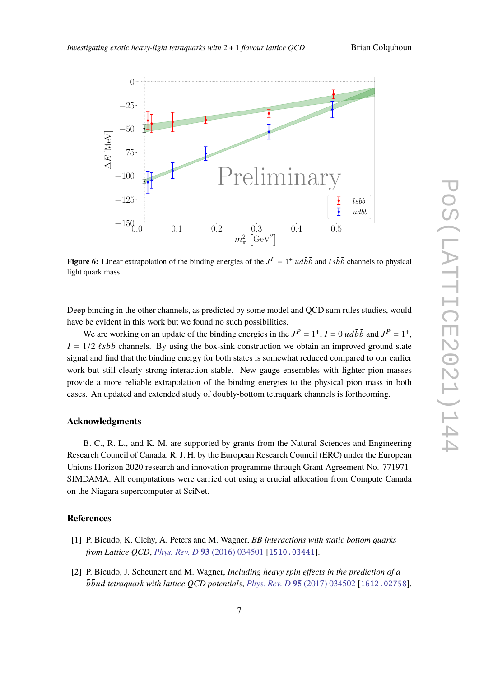<span id="page-6-1"></span>

**Figure 6:** Linear extrapolation of the binding energies of the  $J^P = 1^+ u d\bar{b}\bar{b}$  and  $\ell s\bar{b}\bar{b}$  channels to physical light quark mass.

Deep binding in the other channels, as predicted by some model and QCD sum rules studies, would have be evident in this work but we found no such possibilities.

We are working on an update of the binding energies in the  $J^P = 1^+$ ,  $I = 0$  ud $\overline{b}\overline{b}$  and  $J^P = 1^+$ ,  $I = 1/2$   $\ell s\bar{b}\bar{b}$  channels. By using the box-sink construction we obtain an improved ground state signal and find that the binding energy for both states is somewhat reduced compared to our earlier work but still clearly strong-interaction stable. New gauge ensembles with lighter pion masses provide a more reliable extrapolation of the binding energies to the physical pion mass in both cases. An updated and extended study of doubly-bottom tetraquark channels is forthcoming.

# **Acknowledgments**

B. C., R. L., and K. M. are supported by grants from the Natural Sciences and Engineering Research Council of Canada, R. J. H. by the European Research Council (ERC) under the European Unions Horizon 2020 research and innovation programme through Grant Agreement No. 771971- SIMDAMA. All computations were carried out using a crucial allocation from Compute Canada on the Niagara supercomputer at SciNet.

#### **References**

- <span id="page-6-0"></span>[1] P. Bicudo, K. Cichy, A. Peters and M. Wagner, *BB interactions with static bottom quarks from Lattice QCD*, *[Phys. Rev. D](https://doi.org/10.1103/PhysRevD.93.034501)* **93** (2016) 034501 [[1510.03441](https://arxiv.org/abs/1510.03441)].
- [2] P. Bicudo, J. Scheunert and M. Wagner, *Including heavy spin effects in the prediction of a bbud tetraquark with lattice QCD potentials, Phys. Rev. D 95 [\(2017\) 034502](https://doi.org/10.1103/PhysRevD.95.034502) [[1612.02758](https://arxiv.org/abs/1612.02758)].*